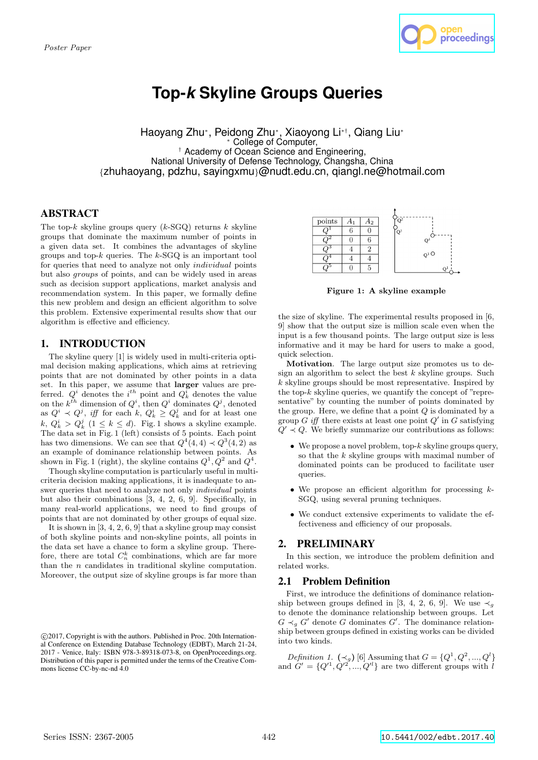

# **Top-***k* **Skyline Groups Queries**

Haoyang Zhu*<sup>∗</sup>* , Peidong Zhu*<sup>∗</sup>* , Xiaoyong Li*∗†*, Qiang Liu*<sup>∗</sup> <sup>∗</sup>* College of Computer, *†* Academy of Ocean Science and Engineering, National University of Defense Technology, Changsha, China *{*zhuhaoyang, pdzhu, sayingxmu*}*@nudt.edu.cn, qiangl.ne@hotmail.com

# ABSTRACT

The top-*k* skyline groups query (*k*-SGQ) returns *k* skyline groups that dominate the maximum number of points in a given data set. It combines the advantages of skyline groups and top-*k* queries. The *k*-SGQ is an important tool for queries that need to analyze not only *individual* points but also *groups* of points, and can be widely used in areas such as decision support applications, market analysis and recommendation system. In this paper, we formally define this new problem and design an efficient algorithm to solve this problem. Extensive experimental results show that our algorithm is effective and efficiency.

# 1. INTRODUCTION

The skyline query [1] is widely used in multi-criteria optimal decision making applications, which aims at retrieving points that are not dominated by other points in a data set. In this paper, we assume that **larger** values are preferred.  $Q^i$  denotes the  $i^{th}$  point and  $Q^i_k$  denotes the value on the  $k^{th}$  dimension of  $Q^i$ , then  $Q^i$  dominates  $Q^j$ , denoted as  $Q^i \prec Q^j$ , *iff* for each  $k$ ,  $Q^i_k \geq Q^j_k$  and for at least one  $k, Q_k^i > Q_k^j$  (1 *≤ k ≤ d*). Fig. 1 shows a skyline example. The data set in Fig. 1 (left) consists of 5 points. Each point has two dimensions. We can see that  $Q^4(4,4) \prec Q^3(4,2)$  as an example of dominance relationship between points. As shown in Fig. 1 (right), the skyline contains  $Q^1, Q^2$  and  $Q^4$ .

Though skyline computation is particularly useful in multicriteria decision making applications, it is inadequate to answer queries that need to analyze not only *individual* points but also their combinations [3, 4, 2, 6, 9]. Specifically, in many real-world applications, we need to find groups of points that are not dominated by other groups of equal size.

It is shown in [3, 4, 2, 6, 9] that a skyline group may consist of both skyline points and non-skyline points, all points in the data set have a chance to form a skyline group. Therefore, there are total  $C_n^k$  combinations, which are far more than the *n* candidates in traditional skyline computation. Moreover, the output size of skyline groups is far more than



**Figure 1: A skyline example**

the size of skyline. The experimental results proposed in [6, 9] show that the output size is million scale even when the input is a few thousand points. The large output size is less informative and it may be hard for users to make a good, quick selection.

**Motivation**. The large output size promotes us to design an algorithm to select the best *k* skyline groups. Such *k* skyline groups should be most representative. Inspired by the top-*k* skyline queries, we quantify the concept of "representative" by counting the number of points dominated by the group. Here, we define that a point *Q* is dominated by a group *G iff* there exists at least one point  $Q'$  in *G* satisfying  $Q' \prec Q$ . We briefly summarize our contributions as follows:

- *•* We propose a novel problem, top-*k* skyline groups query, so that the *k* skyline groups with maximal number of dominated points can be produced to facilitate user queries.
- *•* We propose an efficient algorithm for processing *k*-SGQ, using several pruning techniques.
- *•* We conduct extensive experiments to validate the effectiveness and efficiency of our proposals.

# **PRELIMINARY**

In this section, we introduce the problem definition and related works.

# 2.1 Problem Definition

First, we introduce the definitions of dominance relationship between groups defined in [3, 4, 2, 6, 9]. We use  $\prec_q$ to denote the dominance relationship between groups. Let  $G \prec_g G'$  denote *G* dominates *G'*. The dominance relationship between groups defined in existing works can be divided into two kinds.

*Definition 1.*  $({\prec_g})$  [6] Assuming that  $G = \{Q^1, Q^2, ..., Q^l\}$ and  $G' = \{Q'^1, Q'^2, ..., Q'^l\}$  are two different groups with *l* 

 $\circ$  2017, Copyright is with the authors. Published in Proc. 20th International Conference on Extending Database Technology (EDBT), March 21-24, 2017 - Venice, Italy: ISBN 978-3-89318-073-8, on OpenProceedings.org. Distribution of this paper is permitted under the terms of the Creative Commons license CC-by-nc-nd 4.0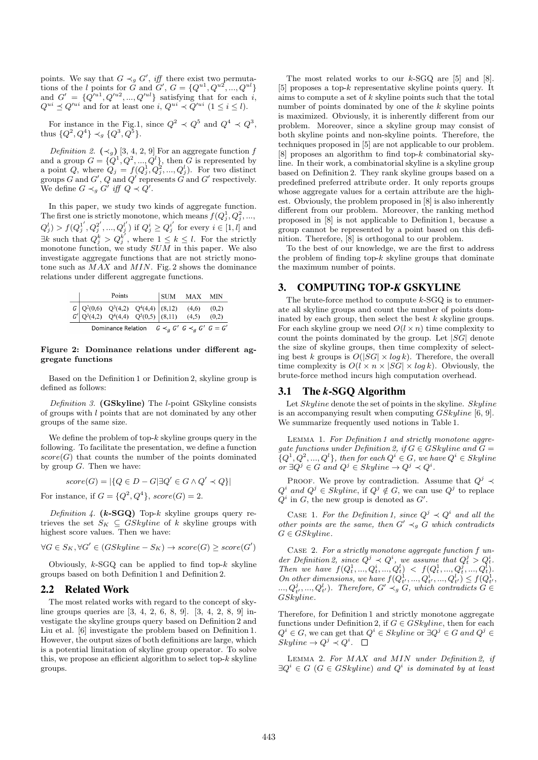points. We say that  $G \prec_g G'$ , *iff* there exist two permutations of the *l* points for *G* and *G'*,  $G = \{Q^{u1}, Q^{u2}, ..., Q^{ul}\}$ and  $G' = \{Q'^{u1}, Q'^{u2}, ..., Q'^{ul}\}$  satisfying that for each *i*,  $Q^{ui} \preceq Q^{\prime ui}$  and for at least one  $i, Q^{ui} \prec Q^{\prime ui}$  ( $1 \le i \le l$ ).

For instance in the Fig.1, since  $Q^2 \prec Q^5$  and  $Q^4 \prec Q^3$ , thus  $\{Q^2, Q^4\} \prec_g \{Q^3, Q^5\}.$ 

*Definition 2.*  $(\prec_g)$  [3, 4, 2, 9] For an aggregate function *f* and a group  $G = \{Q^1, Q^2, ..., Q^l\}$ , then *G* is represented by a point Q, where  $Q_j = f(Q_j^1, Q_j^2, ..., Q_j^l)$ . For two distinct groups *G* and *G ′* , *Q* and *Q ′* represents *G* and *G ′* respectively. We define  $G \prec_g G'$  *iff*  $Q \prec Q'$ .

In this paper, we study two kinds of aggregate function. The first one is strictly monotone, which means  $f(Q_j^1, Q_j^2, \ldots,$  $Q_j^l$  >  $f(Q_j^{1'}, Q_j^{2'}, ..., Q_j^{l'})$  if  $Q_j^i \ge Q_j^{i'}$  for every  $i \in [1, l]$  and *∃k* such that  $Q_j^k > Q_j^{k'}$ , where  $1 ≤ k ≤ l$ . For the strictly monotone function, we study *SUM* in this paper. We also investigate aggregate functions that are not strictly monotone such as *MAX* and *MIN*. Fig. 2 shows the dominance relations under different aggregate functions.

|  | Points                                                                                                   |  | SUM MAX MIN |       |
|--|----------------------------------------------------------------------------------------------------------|--|-------------|-------|
|  | $G \begin{vmatrix} Q^2(0,6) & Q^3(4,2) & Q^4(4,4) \ Q^3(4,2) & Q^4(4,4) & Q^5(0,5) \end{vmatrix}$ (8,12) |  | (4,6)       | (0,2) |
|  |                                                                                                          |  | (4,5)       | (0,2) |
|  | Dominance Relation $G \prec_a G' G \prec_a G' G = G'$                                                    |  |             |       |

#### **Figure 2: Dominance relations under different aggregate functions**

Based on the Definition 1 or Definition 2, skyline group is defined as follows:

*Definition 3.* **(GSkyline)** The *l*-point GSkyline consists of groups with *l* points that are not dominated by any other groups of the same size.

We define the problem of top-*k* skyline groups query in the following. To facilitate the presentation, we define a function  $score(G)$  that counts the number of the points dominated by group *G*. Then we have:

$$
score(G) = |\{Q \in D - G | \exists Q' \in G \land Q' \prec Q\}|
$$

For instance, if  $G = \{Q^2, Q^4\}$ ,  $score(G) = 2$ .

*Definition 4.* **(***k***-SGQ)** Top-*k* skyline groups query retrieves the set  $S_K \subseteq GSkylinder$  of *k* skyline groups with highest score values. Then we have:

$$
\forall G \in S_K, \forall G' \in (GSkyline - S_K) \rightarrow score(G) \geq score(G')
$$

Obviously, *k*-SGQ can be applied to find top-*k* skyline groups based on both Definition 1 and Definition 2.

## 2.2 Related Work

The most related works with regard to the concept of skyline groups queries are [3, 4, 2, 6, 8, 9]. [3, 4, 2, 8, 9] investigate the skyline groups query based on Definition 2 and Liu et al. [6] investigate the problem based on Definition 1. However, the output sizes of both definitions are large, which is a potential limitation of skyline group operator. To solve this, we propose an efficient algorithm to select top-*k* skyline groups.

The most related works to our *k*-SGQ are [5] and [8]. [5] proposes a top-*k* representative skyline points query. It aims to compute a set of *k* skyline points such that the total number of points dominated by one of the *k* skyline points is maximized. Obviously, it is inherently different from our problem. Moreover, since a skyline group may consist of both skyline points and non-skyline points. Therefore, the techniques proposed in [5] are not applicable to our problem. [8] proposes an algorithm to find top-*k* combinatorial skyline. In their work, a combinatorial skyline is a skyline group based on Definition 2. They rank skyline groups based on a predefined preferred attribute order. It only reports groups whose aggregate values for a certain attribute are the highest. Obviously, the problem proposed in [8] is also inherently different from our problem. Moreover, the ranking method proposed in [8] is not applicable to Definition 1, because a group cannot be represented by a point based on this definition. Therefore, [8] is orthogonal to our problem.

To the best of our knowledge, we are the first to address the problem of finding top-*k* skyline groups that dominate the maximum number of points.

#### 3. COMPUTING TOP-*K* GSKYLINE

The brute-force method to compute *k*-SGQ is to enumerate all skyline groups and count the number of points dominated by each group, then select the best *k* skyline groups. For each skyline group we need  $O(l \times n)$  time complexity to count the points dominated by the group. Let *|SG|* denote the size of skyline groups, then time complexity of selecting best *k* groups is  $O(|SG| \times log k)$ . Therefore, the overall time complexity is  $O(l \times n \times |SG| \times log k)$ . Obviously, the brute-force method incurs high computation overhead.

## 3.1 The *k*-SGQ Algorithm

Let *Skyline* denote the set of points in the skyline. *Skyline* is an accompanying result when computing *GSkyline* [6, 9]. We summarize frequently used notions in Table 1.

Lemma 1. *For Definition 1 and strictly monotone aggregate functions under Definition 2, if*  $G \in \tilde{G}$ *Skyline and*  $\tilde{G} =$  ${Q<sup>i</sup>, Q<sup>2</sup>, ..., Q<sup>l</sup>},$  then for each  $Q<sup>i</sup> \in G$ *, we have*  $Q<sup>i</sup> \in Skylinder$  $or \ \exists Q^j \in G \ and \ Q^j \in Skpline \rightarrow Q^j \prec Q^i$ .

PROOF. We prove by contradiction. Assume that  $Q^j \prec$  $Q^i$  *and*  $Q^j \in Skylinder$ , if  $Q^j \notin G$ , we can use  $Q^j$  to replace  $Q^i$  in *G*, the new group is denoted as  $G'$ .

CASE 1. For the Definition 1, since  $Q^j \prec Q^i$  and all the *other points are the same, then*  $G' \prec_g G$  *which contradicts*  $G \in GSkyline.$ 

Case 2. *For a strictly monotone aggregate function f under Definition 2, since*  $Q^j \prec Q^i$ , we assume that  $Q_t^j > Q_t^i$ . der Definition 2, since  $Q^2 \prec Q$ , we assume that  $Q_t^2 > Q_t$ .<br>Then we have  $f(Q_t^1, ..., Q_t^i, ..., Q_t^l) < f(Q_t^1, ..., Q_t^i, ..., Q_t^l)$ . *On other dimensions, we have*  $f(Q_{t'}^1, ..., Q_{t'}^i, ..., Q_{t'}^l) \leq f(Q_{t'}^1,$  $\dots, Q_t^j, \dots, Q_t^l$ )*. Therefore,*  $G' \prec_g G$ *, which contradicts*  $G \in$ *GSkyline.*

Therefore, for Definition 1 and strictly monotone aggregate functions under Definition 2, if  $G \in GSkpline$ , then for each  $Q^i \in G$ , we can get that  $Q^i \in Skpline$  or  $\exists Q^j \in G$  and  $Q^j \in G$  $Skyline \rightarrow Q^j \prec Q^i$ .

Lemma 2. *For MAX and MIN under Definition 2, if*  $\exists Q^{i} \in G$  ( $G \in GSkylinder$ ) and  $Q^{i}$  is dominated by at least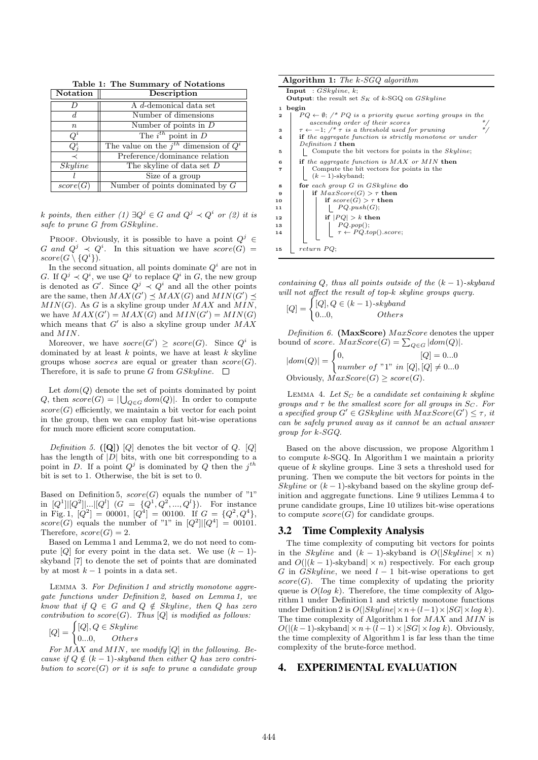| <b>Notation</b>  | Description                                  |  |
|------------------|----------------------------------------------|--|
|                  | A d-demonical data set                       |  |
| đ.               | Number of dimensions                         |  |
| $\boldsymbol{n}$ | Number of points in $D$                      |  |
| $Q^i$            | The $i^{th}$ point in $D$                    |  |
| $Q_i^i$          | The value on the $j^{th}$ dimension of $Q^i$ |  |
|                  | Preference/dominance relation                |  |
| Skyline          | The skyline of data set $D$                  |  |
|                  | Size of a group                              |  |
| score(G)         | Number of points dominated by $G$            |  |

**Table 1: The Summary of Notations**

*k points, then either*  $(1) \exists Q^{j} \in G$  *and*  $Q^{j} \prec Q^{i}$  *or*  $(2)$  *it is safe to prune G from GSkyline.*

PROOF. Obviously, it is possible to have a point  $Q^j \in$ *G* and  $Q^j \prec Q^i$ . In this situation we have  $score(G)$  $score(G \setminus \{Q^i\})$ .

In the second situation, all points dominate  $Q^i$  are not in *G*. If  $Q^j \prec Q^i$ , we use  $Q^j$  to replace  $Q^i$  in *G*, the new group is denoted as  $G'$ . Since  $Q^j \prec Q^i$  and all the other points are the same, then  $MAX(G') \preceq MAX(G)$  and  $MIN(G') \preceq$ *MIN*(*G*). As *G* is a skyline group under *MAX* and *MIN*, we have  $MAX(G') = MAX(G)$  and  $MIN(G') = MIN(G)$ which means that *G ′* is also a skyline group under *MAX* and *MIN*.

Moreover, we have  $score(G') \geq score(G)$ . Since  $Q^i$  is dominated by at least *k* points, we have at least *k* skyline groups whose *socres* are equal or greater than *score*(*G*). Therefore, it is safe to prune *G* from *GSkyline*.  $\Box$ 

Let  $dom(Q)$  denote the set of points dominated by point *Q*, then  $score(G) = |\bigcup_{Q \in G} dom(Q)|$ . In order to compute  $score(G)$  efficiently, we maintain a bit vector for each point in the group, then we can employ fast bit-wise operations for much more efficient score computation.

*Definition 5.* **([Q])** [*Q*] denotes the bit vector of *Q*. [*Q*] has the length of *|D|* bits, with one bit corresponding to a point in *D*. If a point  $Q^j$  is dominated by *Q* then the  $j^{th}$ bit is set to 1. Otherwise, the bit is set to 0.

Based on Definition 5,  $score(G)$  equals the number of "1" in  $[Q^1][[Q^2]]\dots [Q^l]$   $(G = \{Q^1, Q^2, ..., Q^l\})$ . For instance in Fig. 1,  $[Q^2] = 00001$ ,  $[Q^4] = 00100$ . If  $G = \{Q^2, Q^4\}$ , *score*(*G*) equals the number of "1" in  $|Q^2|||Q^4| = 00101$ . Therefore,  $score(G) = 2$ .

Based on Lemma 1 and Lemma 2, we do not need to compute  $[Q]$  for every point in the data set. We use  $(k-1)$ skyband [7] to denote the set of points that are dominated by at most  $k-1$  points in a data set.

Lemma 3. *For Definition 1 and strictly monotone aggregate functions under Definition 2, based on Lemma 1, we know that if*  $Q \in G$  *and*  $Q \notin Skpline$ *, then*  $Q$  *has zero contribution to*  $score(G)$ *. Thus*  $[Q]$  *is modified as follows:* 

$$
[Q] = \begin{cases} [Q], Q \in Skyline \\ 0...0, & Others \end{cases}
$$

*For MAX and MIN, we modify* [*Q*] *in the following. Because if*  $Q \notin (k-1)$ *-skyband then either*  $Q$  *has zero contribution to*  $score(G)$  *or it is safe to prune a candidate group* 

|                         | <b>Algorithm 1:</b> The k-SGQ algorithm                                                    |  |  |  |  |  |
|-------------------------|--------------------------------------------------------------------------------------------|--|--|--|--|--|
|                         | <b>Input</b> : $GSkyline, k$ ;                                                             |  |  |  |  |  |
|                         | <b>Output:</b> the result set $S_K$ of k-SGQ on $GSkyline$                                 |  |  |  |  |  |
| 1                       | begin                                                                                      |  |  |  |  |  |
| $\overline{a}$          | $PQ \leftarrow \emptyset$ ; /* PQ is a priority queue sorting groups in the                |  |  |  |  |  |
|                         | ascending order of their scores                                                            |  |  |  |  |  |
| 3                       | $\tau \leftarrow -1$ ; $\ell^* \tau$ is a threshold used for pruning<br>$\ast$ /           |  |  |  |  |  |
| 4                       | <b>if</b> the aggregate function is strictly monotone or under                             |  |  |  |  |  |
|                         | <i>Definition 1</i> then                                                                   |  |  |  |  |  |
| 5                       | Compute the bit vectors for points in the <i>Skyline</i> ;                                 |  |  |  |  |  |
| 6                       | if the aggregate function is $MAX$ or $MIN$ then                                           |  |  |  |  |  |
| $\overline{\mathbf{r}}$ | Compute the bit vectors for points in the                                                  |  |  |  |  |  |
|                         | $(k-1)$ -skyband;                                                                          |  |  |  |  |  |
| 8                       | for each group $G$ in $GSkylinder$ do                                                      |  |  |  |  |  |
| 9                       | if $MaxScore(G) > \tau$ then                                                               |  |  |  |  |  |
| 10                      | if $score(G) > \tau$ then                                                                  |  |  |  |  |  |
| 11                      | $\vert PQ.push(G);$                                                                        |  |  |  |  |  |
| 12                      | if $ PQ  > k$ then                                                                         |  |  |  |  |  |
| 13                      |                                                                                            |  |  |  |  |  |
| 14                      | $\left  \begin{array}{c} PQ.pop(); \\ \tau \leftarrow PQ,top().score; \end{array} \right $ |  |  |  |  |  |
|                         |                                                                                            |  |  |  |  |  |
| 15                      | return PQ;                                                                                 |  |  |  |  |  |

*containing*  $Q$ *, thus all points outside of the*  $(k-1)$ *-skyband will not affect the result of top-k skyline groups query.*

$$
[Q] = \begin{cases} [Q], Q \in (k-1)\text{-}skyband \\ 0...0, & Others \end{cases}
$$

*Definition 6.* **(MaxScore)** *MaxScore* denotes the upper bound of *score*.  $MaxScore(G) = \sum_{Q \in G} |dom(Q)|$ .

 $|dom(Q)| =$  $[Q] = 0...0$ *number of* "1" *in*  $[Q], [Q] \neq 0...0$ Obviously,  $MaxScore(G) \geq score(G)$ .

LEMMA 4. Let  $S_C$  be a candidate set containing  $k$  skyline *groups and*  $\tau$  *be the smallest score for all groups in*  $S_C$ *. For a* specified group  $G' \in GSkpline$  *with*  $MaxScore(G') \leq \tau$ , *it can be safely pruned away as it cannot be an actual answer group for k-SGQ.*

Based on the above discussion, we propose Algorithm 1 to compute *k*-SGQ. In Algorithm 1 we maintain a priority queue of *k* skyline groups. Line 3 sets a threshold used for pruning. Then we compute the bit vectors for points in the *Skyline* or  $(k-1)$ -skyband based on the skyline group definition and aggregate functions. Line 9 utilizes Lemma 4 to prune candidate groups, Line 10 utilizes bit-wise operations to compute  $score(G)$  for candidate groups.

#### 3.2 Time Complexity Analysis

The time complexity of computing bit vectors for points in the *Skyline* and  $(k - 1)$ -skyband is  $O(|Skyline| \times n)$ and  $O(|(k-1)$ -skyband $| \times n$  respectively. For each group *G* in *GSkyline*, we need *l −* 1 bit-wise operations to get  $score(G)$ . The time complexity of updating the priority queue is  $O(log k)$ . Therefore, the time complexity of Algorithm 1 under Definition 1 and strictly monotone functions under Definition 2 is *O*(*|Skyline|×n*+(*l−*1)*×|SG|×log k*). The time complexity of Algorithm 1 for *MAX* and *MIN* is  $O(|(k-1)$ -skyband $| \times n + (l-1) \times |SG| \times log k$ ). Obviously, the time complexity of Algorithm 1 is far less than the time complexity of the brute-force method.

#### 4. EXPERIMENTAL EVALUATION